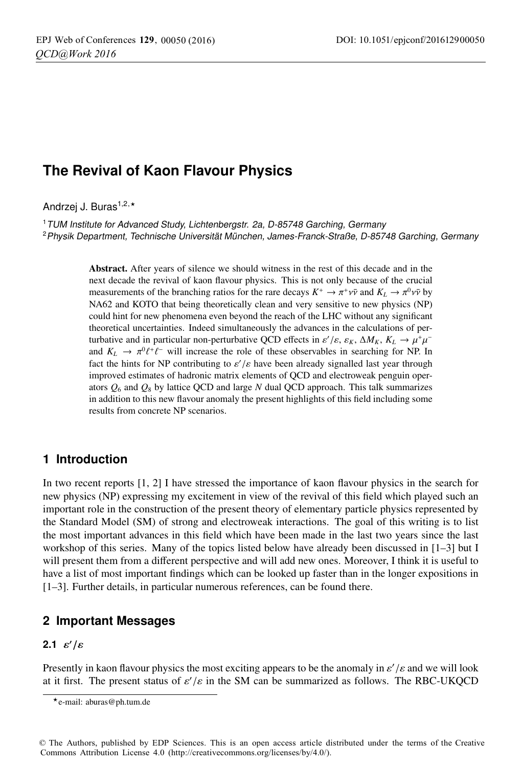# **The Revival of Kaon Flavour Physics**

Andrzei J. Buras<sup>1,2,\*</sup>

<sup>1</sup> TUM Institute for Advanced Study, Lichtenbergstr. 2a, D-85748 Garching, Germany <sup>2</sup>Physik Department, Technische Universität München, James-Franck-Straße, D-85748 Garching, Germany

> Abstract. After years of silence we should witness in the rest of this decade and in the next decade the revival of kaon flavour physics. This is not only because of the crucial measurements of the branching ratios for the rare decays  $K^+ \to \pi^+ \nu \bar{\nu}$  and  $K_L \to \pi^0 \nu \bar{\nu}$  by NA62 and KOTO that being theoretically clean and very sensitive to new physics (NP) could hint for new phenomena even beyond the reach of the LHC without any significant theoretical uncertainties. Indeed simultaneously the advances in the calculations of perturbative and in particular non-perturbative QCD effects in  $\varepsilon'/\varepsilon$ ,  $\varepsilon_K$ ,  $\Delta M_K$ ,  $K_L \to \mu^+ \mu^$ and  $K_L \to \pi^0 \ell^+ \ell^-$  will increase the role of these observables in searching for NP. In fact the hints for NP contributing to  $\varepsilon'/\varepsilon$  have been already signalled last year through improved estimates of hadronic matrix elements of QCD and electroweak penguin operators  $Q_6$  and  $Q_8$  by lattice QCD and large *N* dual QCD approach. This talk summarizes in addition to this new flavour anomaly the present highlights of this field including some results from concrete NP scenarios.

# **1 Introduction**

In two recent reports [1, 2] I have stressed the importance of kaon flavour physics in the search for new physics (NP) expressing my excitement in view of the revival of this field which played such an important role in the construction of the present theory of elementary particle physics represented by the Standard Model (SM) of strong and electroweak interactions. The goal of this writing is to list the most important advances in this field which have been made in the last two years since the last workshop of this series. Many of the topics listed below have already been discussed in [1–3] but I will present them from a different perspective and will add new ones. Moreover, I think it is useful to have a list of most important findings which can be looked up faster than in the longer expositions in [1–3]. Further details, in particular numerous references, can be found there.

## **2 Important Messages**

### **2.1**  $\varepsilon'/\varepsilon$

Presently in kaon flavour physics the most exciting appears to be the anomaly in  $\varepsilon'/\varepsilon$  and we will look at it first. The present status of  $\varepsilon'/\varepsilon$  in the SM can be summarized as follows. The RBC-UKQCD

© The Authors, published by EDP Sciences. This is an open access article distributed under the terms of the Creative Commons Attribution License 4.0 (http://creativecommons.org/licenses/by/4.0/).

<sup>-</sup>e-mail: aburas@ph.tum.de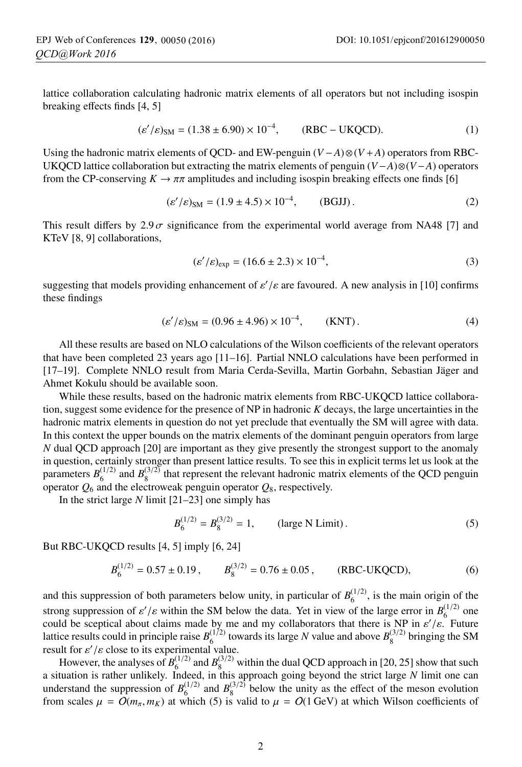lattice collaboration calculating hadronic matrix elements of all operators but not including isospin breaking effects finds [4, 5]

$$
(\varepsilon'/\varepsilon)_{\rm SM} = (1.38 \pm 6.90) \times 10^{-4}, \qquad (\rm RBC - UKQCD). \tag{1}
$$

Using the hadronic matrix elements of QCD- and EW-penguin (*<sup>V</sup>* <sup>−</sup>*A*)⊗(*<sup>V</sup>* <sup>+</sup>*A*) operators from RBC-UKQCD lattice collaboration but extracting the matrix elements of penguin (*V*−*A*)⊗(*<sup>V</sup>* <sup>−</sup>*A*) operators from the CP-conserving  $K \to \pi \pi$  amplitudes and including isospin breaking effects one finds [6]

$$
(\varepsilon'/\varepsilon)_{\rm SM} = (1.9 \pm 4.5) \times 10^{-4}, \qquad \text{(BGIJ)}.
$$
 (2)

This result differs by  $2.9\sigma$  significance from the experimental world average from NA48 [7] and KTeV [8, 9] collaborations,

$$
(\varepsilon'/\varepsilon)_{\exp} = (16.6 \pm 2.3) \times 10^{-4},\tag{3}
$$

suggesting that models providing enhancement of  $\varepsilon'/\varepsilon$  are favoured. A new analysis in [10] confirms these findings

$$
(\varepsilon'/\varepsilon)_{\rm SM} = (0.96 \pm 4.96) \times 10^{-4}, \qquad \text{(KNT)}.
$$
 (4)

All these results are based on NLO calculations of the Wilson coefficients of the relevant operators that have been completed 23 years ago [11–16]. Partial NNLO calculations have been performed in [17–19]. Complete NNLO result from Maria Cerda-Sevilla, Martin Gorbahn, Sebastian Jäger and Ahmet Kokulu should be available soon.

While these results, based on the hadronic matrix elements from RBC-UKQCD lattice collaboration, suggest some evidence for the presence of NP in hadronic *K* decays, the large uncertainties in the hadronic matrix elements in question do not yet preclude that eventually the SM will agree with data. In this context the upper bounds on the matrix elements of the dominant penguin operators from large *N* dual QCD approach [20] are important as they give presently the strongest support to the anomaly in question, certainly stronger than present lattice results. To see this in explicit terms let us look at the parameters  $B_6^{(1/2)}$  and  $B_8^{(3/2)}$  that represent the relevant hadronic matrix elements of the QCD penguin operator  $Q_6$  and the electroweak penguin operator  $Q_8$ , respectively.

In the strict large *N* limit [21–23] one simply has

$$
B_6^{(1/2)} = B_8^{(3/2)} = 1, \qquad \text{(large N Limit)}\,. \tag{5}
$$

But RBC-UKQCD results [4, 5] imply [6, 24]

$$
B_6^{(1/2)} = 0.57 \pm 0.19, \qquad B_8^{(3/2)} = 0.76 \pm 0.05, \qquad \text{(RBC-UKQCD)}, \tag{6}
$$

and this suppression of both parameters below unity, in particular of  $B_6^{(1/2)}$ , is the main origin of the strong suppression of  $\varepsilon' / \varepsilon$  within the SM below the data. Yet in view of the large error in  $B_6^{(1/2)}$  one could be sceptical about claims made by me and my collaborators that there is NP in  $\varepsilon'/\varepsilon$ . Future lattice results could in principle raise  $B_6^{(1/2)}$  towards its large *N* value and above  $B_8^{(3/2)}$  bringing the SM result for  $\varepsilon'/\varepsilon$  close to its experimental value.

However, the analyses of  $B_6^{(1/2)}$  and  $B_8^{(3/2)}$  within the dual QCD approach in [20, 25] show that such a situation is rather unlikely. Indeed, in this approach going beyond the strict large *N* limit one can understand the suppression of  $B_6^{(1/2)}$  and  $B_8^{(3/2)}$  below the unity as the effect of the meson evolution from scales  $\mu = O(m_\pi, m_K)$  at which (5) is valid to  $\mu = O(1 \text{ GeV})$  at which Wilson coefficients of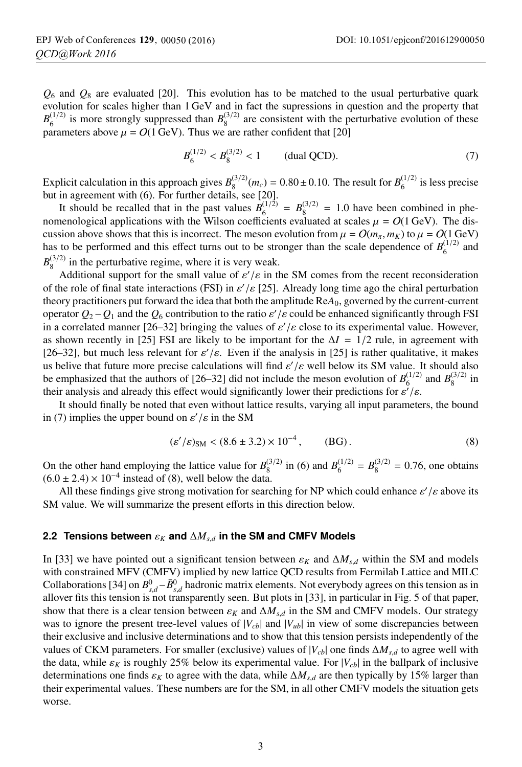$Q_6$  and  $Q_8$  are evaluated [20]. This evolution has to be matched to the usual perturbative quark evolution for scales higher than 1 GeV and in fact the supressions in question and the property that  $B_6^{(1/2)}$  is more strongly suppressed than  $B_8^{(3/2)}$  are consistent with the perturbative evolution of these parameters above  $\mu = O(1 \text{ GeV})$ . Thus we are rather confident that [20]

$$
B_6^{(1/2)} < B_8^{(3/2)} < 1 \qquad \text{(dual QCD).} \tag{7}
$$

Explicit calculation in this approach gives  $B_8^{(3/2)}(m_c) = 0.80 \pm 0.10$ . The result for  $B_6^{(1/2)}$  is less precise but in agreement with (6). For further details, see [20].

It should be recalled that in the past values  $B_6^{(1/2)} = B_8^{(3/2)} = 1.0$  have been combined in phenomenological applications with the Wilson coefficients evaluated at scales  $\mu = O(1 \text{ GeV})$ . The discussion above shows that this is incorrect. The meson evolution from  $\mu = O(m_\pi, m_K)$  to  $\mu = O(1 \text{ GeV})$ has to be performed and this effect turns out to be stronger than the scale dependence of  $B_6^{(1/2)}$  and  $B_8^{(3/2)}$  in the perturbative regime, where it is very weak.

Additional support for the small value of  $\varepsilon'/\varepsilon$  in the SM comes from the recent reconsideration of the role of final state interactions (FSI) in  $\varepsilon'/\varepsilon$  [25]. Already long time ago the chiral perturbation theory practitioners put forward the idea that both the amplitude Re*A*0, governed by the current-current operator *<sup>Q</sup>*2−*Q*<sup>1</sup> and the *<sup>Q</sup>*<sup>6</sup> contribution to the ratio <sup>ε</sup> /ε could be enhanced significantly through FSI in a correlated manner [26–32] bringing the values of  $\varepsilon'/\varepsilon$  close to its experimental value. However, as shown recently in [25] FSI are likely to be important for the  $\Delta I = 1/2$  rule, in agreement with [26–32], but much less relevant for  $\varepsilon'/\varepsilon$ . Even if the analysis in [25] is rather qualitative, it makes us belive that future more precise calculations will find  $\varepsilon'/\varepsilon$  well below its SM value. It should also be emphasized that the authors of [26–32] did not include the meson evolution of  $B_6^{(1/2)}$  and  $B_8^{(3/2)}$  in their analysis and already this effect would significantly lower their predictions for  $\varepsilon'/\varepsilon$ .

It should finally be noted that even without lattice results, varying all input parameters, the bound in (7) implies the upper bound on  $\varepsilon'/\varepsilon$  in the SM

$$
(\varepsilon'/\varepsilon)_{\rm SM} < (8.6 \pm 3.2) \times 10^{-4}, \qquad \text{(BG)}\,. \tag{8}
$$

On the other hand employing the lattice value for  $B_8^{(3/2)}$  in (6) and  $B_6^{(1/2)} = B_8^{(3/2)} = 0.76$ , one obtains  $(6.0 \pm 2.4) \times 10^{-4}$  instead of (8), well below the data.

All these findings give strong motivation for searching for NP which could enhance  $\varepsilon'/\varepsilon$  above its SM value. We will summarize the present efforts in this direction below.

#### **2.2 Tensions between**  $\varepsilon_K$  and  $\Delta M_{s,d}$  in the SM and CMFV Models

In [33] we have pointed out a significant tension between  $\varepsilon_K$  and  $\Delta M_{s,d}$  within the SM and models with constrained MFV (CMFV) implied by new lattice QCD results from Fermilab Lattice and MILC Collaborations [34] on  $B^0_{s,d}$ − $\bar{B}^0_{s,d}$  hadronic matrix elements. Not everybody agrees on this tension as in allover fits this tension is not transparently seen. But plots in [33], in particular in Fig. 5 of that paper, show that there is a clear tension between  $\varepsilon_K$  and  $\Delta M_{s,d}$  in the SM and CMFV models. Our strategy was to ignore the present tree-level values of  $|V_{cb}|$  and  $|V_{ub}|$  in view of some discrepancies between their exclusive and inclusive determinations and to show that this tension persists independently of the values of CKM parameters. For smaller (exclusive) values of  $|V_{cb}|$  one finds  $\Delta M_{s,d}$  to agree well with the data, while  $\varepsilon_K$  is roughly 25% below its experimental value. For  $|V_{cb}|$  in the ballpark of inclusive determinations one finds  $\varepsilon_K$  to agree with the data, while  $\Delta M_{s,d}$  are then typically by 15% larger than their experimental values. These numbers are for the SM, in all other CMFV models the situation gets worse.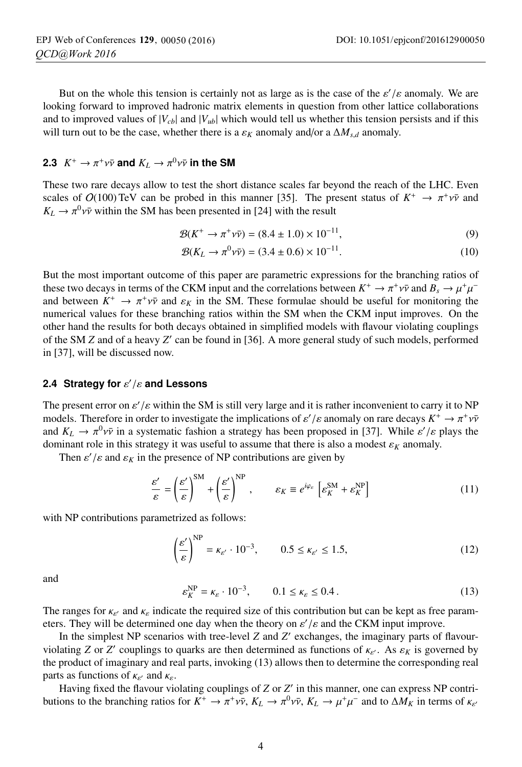But on the whole this tension is certainly not as large as is the case of the  $\varepsilon'/\varepsilon$  anomaly. We are looking forward to improved hadronic matrix elements in question from other lattice collaborations and to improved values of  $|V_{cb}|$  and  $|V_{ub}|$  which would tell us whether this tension persists and if this will turn out to be the case, whether there is a  $\varepsilon_K$  anomaly and/or a  $\Delta M_{s,d}$  anomaly.

### **2.3**  $K^+ \to \pi^+ \nu \bar{\nu}$  and  $K_L \to \pi^0 \nu \bar{\nu}$  in the SM

These two rare decays allow to test the short distance scales far beyond the reach of the LHC. Even scales of  $O(100)$  TeV can be probed in this manner [35]. The present status of  $K^+ \to \pi^+ \nu \bar{\nu}$  and  $K_L \rightarrow \pi^0 \nu \bar{\nu}$  within the SM has been presented in [24] with the result

$$
\mathcal{B}(K^+ \to \pi^+ \nu \bar{\nu}) = (8.4 \pm 1.0) \times 10^{-11},\tag{9}
$$

$$
\mathcal{B}(K_L \to \pi^0 \nu \bar{\nu}) = (3.4 \pm 0.6) \times 10^{-11}.
$$
 (10)

But the most important outcome of this paper are parametric expressions for the branching ratios of these two decays in terms of the CKM input and the correlations between  $K^+ \to \pi^+ \nu \bar{\nu}$  and  $B_s \to \mu^+ \mu^$ and between  $K^+ \to \pi^+ \nu \bar{\nu}$  and  $\varepsilon_K$  in the SM. These formulae should be useful for monitoring the numerical values for these branching ratios within the SM when the CKM input improves. On the other hand the results for both decays obtained in simplified models with flavour violating couplings of the SM *Z* and of a heavy *Z* can be found in [36]. A more general study of such models, performed in [37], will be discussed now.

#### **2.4 Strategy for**  $\varepsilon'/\varepsilon$  **and Lessons**

The present error on  $\varepsilon'/\varepsilon$  within the SM is still very large and it is rather inconvenient to carry it to NP models. Therefore in order to investigate the implications of  $\varepsilon'/\varepsilon$  anomaly on rare decays  $K^+ \to \pi^+ \nu \bar{\nu}$ and  $K_L \to \pi^0 \nu \bar{\nu}$  in a systematic fashion a strategy has been proposed in [37]. While  $\varepsilon'/\varepsilon$  plays the dominant role in this strategy it was useful to assume that there is also a modest  $\varepsilon_K$  anomaly.

Then  $\varepsilon'/\varepsilon$  and  $\varepsilon_K$  in the presence of NP contributions are given by

$$
\frac{\varepsilon'}{\varepsilon} = \left(\frac{\varepsilon'}{\varepsilon}\right)^{\text{SM}} + \left(\frac{\varepsilon'}{\varepsilon}\right)^{\text{NP}}, \qquad \varepsilon_K \equiv e^{i\varphi_\varepsilon} \left[\varepsilon_K^{\text{SM}} + \varepsilon_K^{\text{NP}}\right]
$$
(11)

with NP contributions parametrized as follows:

$$
\left(\frac{\varepsilon'}{\varepsilon}\right)^{\rm NP} = \kappa_{\varepsilon'} \cdot 10^{-3}, \qquad 0.5 \le \kappa_{\varepsilon'} \le 1.5,\tag{12}
$$

and

$$
\varepsilon_K^{\text{NP}} = \kappa_{\varepsilon} \cdot 10^{-3}, \qquad 0.1 \le \kappa_{\varepsilon} \le 0.4 \,. \tag{13}
$$

The ranges for  $\kappa_{\epsilon'}$  and  $\kappa_{\epsilon}$  indicate the required size of this contribution but can be kept as free parameters. They will be determined one day when the theory on  $\varepsilon'/\varepsilon$  and the CKM input improve.

In the simplest NP scenarios with tree-level *Z* and *Z'* exchanges, the imaginary parts of flavourviolating *Z* or *Z'* couplings to quarks are then determined as functions of  $\kappa_{\epsilon'}$ . As  $\varepsilon_K$  is governed by the product of imaginary and real parts, invoking (13) allows then to determine the corresponding real parts as functions of  $\kappa_{\epsilon'}$  and  $\kappa_{\epsilon}$ .

Having fixed the flavour violating couplings of *Z* or *Z'* in this manner, one can express NP contributions to the branching ratios for  $K^+ \to \pi^+ \nu \bar{\nu}$ ,  $K_L \to \pi^0 \nu \bar{\nu}$ ,  $K_L \to \mu^+ \mu^-$  and to  $\Delta M_K$  in terms of  $\kappa_{\kappa'}$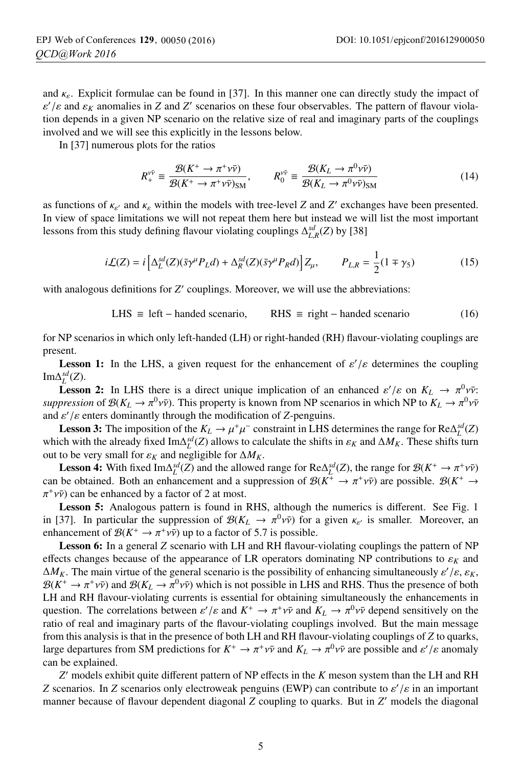and  $\kappa_{\varepsilon}$ . Explicit formulae can be found in [37]. In this manner one can directly study the impact of  $\varepsilon'$ / $\varepsilon$  and  $\varepsilon$ <sub>K</sub> anomalies in *Z* and *Z'* scenarios on these four observables. The pattern of flavour violation depends in a given NP scenario on the relative size of real and imaginary parts of the couplings involved and we will see this explicitly in the lessons below.

In [37] numerous plots for the ratios

$$
R_{+}^{\nu\bar{\nu}} \equiv \frac{\mathcal{B}(K^{+} \to \pi^{+} \nu \bar{\nu})}{\mathcal{B}(K^{+} \to \pi^{+} \nu \bar{\nu})_{\text{SM}}}, \qquad R_{0}^{\nu\bar{\nu}} \equiv \frac{\mathcal{B}(K_{L} \to \pi^{0} \nu \bar{\nu})}{\mathcal{B}(K_{L} \to \pi^{0} \nu \bar{\nu})_{\text{SM}}}
$$
(14)

as functions of  $\kappa_{\varepsilon'}$  and  $\kappa_{\varepsilon}$  within the models with tree-level *Z* and *Z'* exchanges have been presented. In view of space limitations we will not repeat them here but instead we will list the most important lessons from this study defining flavour violating couplings  $\Delta_{L,R}^{sd}(Z)$  by [38]

$$
i\mathcal{L}(Z) = i\left[\Delta_L^{sd}(Z)(\bar{s}\gamma^\mu P_L d) + \Delta_R^{sd}(Z)(\bar{s}\gamma^\mu P_R d)\right]Z_\mu, \qquad P_{L,R} = \frac{1}{2}(1 \mp \gamma_5)
$$
(15)

with analogous definitions for *Z'* couplings. Moreover, we will use the abbreviations:

LHS 
$$
\equiv
$$
 left – handed scenario, RHS  $\equiv$  right – handed scenario (16)

for NP scenarios in which only left-handed (LH) or right-handed (RH) flavour-violating couplings are present.

**Lesson 1:** In the LHS, a given request for the enhancement of  $\varepsilon'/\varepsilon$  determines the coupling  $Im\Delta_L^{sd}(Z)$ .

**Lesson 2:** In LHS there is a direct unique implication of an enhanced  $\varepsilon'/\varepsilon$  on  $K_L \to \pi^0 \nu \bar{\nu}$ : *suppression* of  $\mathcal{B}(K_L \to \pi^0 \nu \bar{\nu})$ . This property is known from NP scenarios in which NP to  $K_L \to \pi^0 \nu \bar{\nu}$ and  $\varepsilon'/\varepsilon$  enters dominantly through the modification of *Z*-penguins.

**Lesson 3:** The imposition of the  $K_L \to \mu^+\mu^-$  constraint in LHS determines the range for  $\text{Re}\Delta_L^{sd}(Z)$ which with the already fixed Im $\Delta_L^{sd}(Z)$  allows to calculate the shifts in  $\varepsilon_K$  and  $\Delta M_K$ . These shifts turn out to be very small for  $\varepsilon_K$  and negligible for  $\Delta M_K$ .

**Lesson 4:** With fixed  $\text{Im}\Delta_L^{sd}(Z)$  and the allowed range for  $\text{Re}\Delta_L^{sd}(Z)$ , the range for  $\mathcal{B}(K^+ \to \pi^+ \nu \bar{\nu})$ can be obtained. Both an enhancement and a suppression of  $\mathcal{B}(K^+ \to \pi^+ \nu \bar{\nu})$  are possible.  $\mathcal{B}(K^+ \to$  $\pi^+v\bar{v}$ ) can be enhanced by a factor of 2 at most.

Lesson 5: Analogous pattern is found in RHS, although the numerics is different. See Fig. 1 in [37]. In particular the suppression of  $\mathcal{B}(K_L \to \pi^0 \nu \bar{\nu})$  for a given  $\kappa_{\varepsilon'}$  is smaller. Moreover, an enhancement of  $\mathcal{B}(K^+ \to \pi^+ \nu \bar{\nu})$  up to a factor of 5.7 is possible.

**Lesson 6:** In a general *Z* scenario with LH and RH flavour-violating couplings the pattern of NP effects changes because of the appearance of LR operators dominating NP contributions to  $\varepsilon_K$  and  $\Delta M_K$ . The main virtue of the general scenario is the possibility of enhancing simultaneously  $\varepsilon'/\varepsilon$ ,  $\varepsilon_K$ ,  $\mathcal{B}(K^+ \to \pi^+ \nu \bar{\nu})$  and  $\mathcal{B}(K_L \to \pi^0 \nu \bar{\nu})$  which is not possible in LHS and RHS. Thus the presence of both LH and RH flavour-violating currents is essential for obtaining simultaneously the enhancements in question. The correlations between  $\varepsilon' / \varepsilon$  and  $K^+ \to \pi^+ \nu \bar{\nu}$  and  $K_L \to \pi^0 \nu \bar{\nu}$  depend sensitively on the ratio of real and imaginary parts of the flavour-violating couplings involved. But the main message from this analysis is that in the presence of both LH and RH flavour-violating couplings of *Z* to quarks, large departures from SM predictions for  $K^+ \to \pi^+ \nu \bar{\nu}$  and  $K_L \to \pi^0 \nu \bar{\nu}$  are possible and  $\varepsilon'/\varepsilon$  anomaly can be explained.

*Z* models exhibit quite different pattern of NP effects in the *K* meson system than the LH and RH *Z* scenarios. In *Z* scenarios only electroweak penguins (EWP) can contribute to  $\varepsilon'/\varepsilon$  in an important manner because of flavour dependent diagonal *Z* coupling to quarks. But in *Z* models the diagonal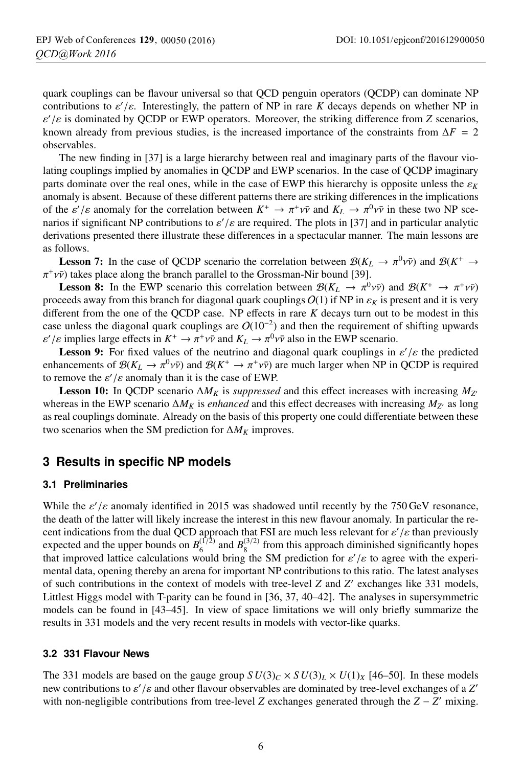quark couplings can be flavour universal so that QCD penguin operators (QCDP) can dominate NP contributions to  $\varepsilon'/\varepsilon$ . Interestingly, the pattern of NP in rare *K* decays depends on whether NP in  $\varepsilon'$ / $\varepsilon$  is dominated by QCDP or EWP operators. Moreover, the striking difference from *Z* scenarios, known already from previous studies, is the increased importance of the constraints from  $\Delta F = 2$ observables.

The new finding in [37] is a large hierarchy between real and imaginary parts of the flavour violating couplings implied by anomalies in QCDP and EWP scenarios. In the case of QCDP imaginary parts dominate over the real ones, while in the case of EWP this hierarchy is opposite unless the  $\varepsilon_K$ anomaly is absent. Because of these different patterns there are striking differences in the implications of the  $\varepsilon'$ / $\varepsilon$  anomaly for the correlation between  $K^+ \to \pi^+ \nu \bar{\nu}$  and  $K_L \to \pi^0 \nu \bar{\nu}$  in these two NP scenarios if significant NP contributions to  $\varepsilon'/\varepsilon$  are required. The plots in [37] and in particular analytic derivations presented there illustrate these differences in a spectacular manner. The main lessons are as follows.

**Lesson 7:** In the case of QCDP scenario the correlation between  $\mathcal{B}(K_L \to \pi^0 \nu \bar{\nu})$  and  $\mathcal{B}(K^+ \to \pi^0 \nu \bar{\nu})$  $\pi^+v\bar{v}$ ) takes place along the branch parallel to the Grossman-Nir bound [39].

**Lesson 8:** In the EWP scenario this correlation between  $\mathcal{B}(K_L \to \pi^0 \nu \bar{\nu})$  and  $\mathcal{B}(K^+ \to \pi^+ \nu \bar{\nu})$ proceeds away from this branch for diagonal quark couplings  $O(1)$  if NP in  $\varepsilon_K$  is present and it is very different from the one of the QCDP case. NP effects in rare *K* decays turn out to be modest in this case unless the diagonal quark couplings are  $O(10^{-2})$  and then the requirement of shifting upwards  $\varepsilon' / \varepsilon$  implies large effects in  $K^+ \to \pi^+ \nu \bar{\nu}$  and  $K_L \to \pi^0 \nu \bar{\nu}$  also in the EWP scenario.

**Lesson 9:** For fixed values of the neutrino and diagonal quark couplings in  $\varepsilon'/\varepsilon$  the predicted enhancements of  $\mathcal{B}(K_L \to \pi^0 \nu \bar{\nu})$  and  $\mathcal{B}(K^+ \to \pi^+ \nu \bar{\nu})$  are much larger when NP in QCDP is required to remove the  $\varepsilon'/\varepsilon$  anomaly than it is the case of EWP.

**Lesson 10:** In QCDP scenario  $\Delta M_K$  is *suppressed* and this effect increases with increasing  $M_{Z'}$ whereas in the EWP scenario  $\Delta M_K$  is *enhanced* and this effect decreases with increasing  $M_{Z'}$  as long as real couplings dominate. Already on the basis of this property one could differentiate between these two scenarios when the SM prediction for  $\Delta M_K$  improves.

### **3 Results in specific NP models**

#### **3.1 Preliminaries**

While the  $\varepsilon'/\varepsilon$  anomaly identified in 2015 was shadowed until recently by the 750 GeV resonance, the death of the latter will likely increase the interest in this new flavour anomaly. In particular the recent indications from the dual QCD approach that FSI are much less relevant for  $\varepsilon'/\varepsilon$  than previously expected and the upper bounds on  $B_6^{(\frac{1}{2})}$  and  $B_8^{(\frac{3}{2})}$  from this approach diminished significantly hopes that improved lattice calculations would bring the SM prediction for  $\varepsilon'/\varepsilon$  to agree with the experimental data, opening thereby an arena for important NP contributions to this ratio. The latest analyses of such contributions in the context of models with tree-level *Z* and *Z* exchanges like 331 models, Littlest Higgs model with T-parity can be found in [36, 37, 40–42]. The analyses in supersymmetric models can be found in [43–45]. In view of space limitations we will only briefly summarize the results in 331 models and the very recent results in models with vector-like quarks.

#### **3.2 331 Flavour News**

The 331 models are based on the gauge group  $SU(3)_C \times SU(3)_L \times U(1)_X$  [46–50]. In these models new contributions to ε /ε and other flavour observables are dominated by tree-level exchanges of a *Z* with non-negligible contributions from tree-level *<sup>Z</sup>* exchanges generated through the *<sup>Z</sup>* <sup>−</sup> *<sup>Z</sup>* mixing.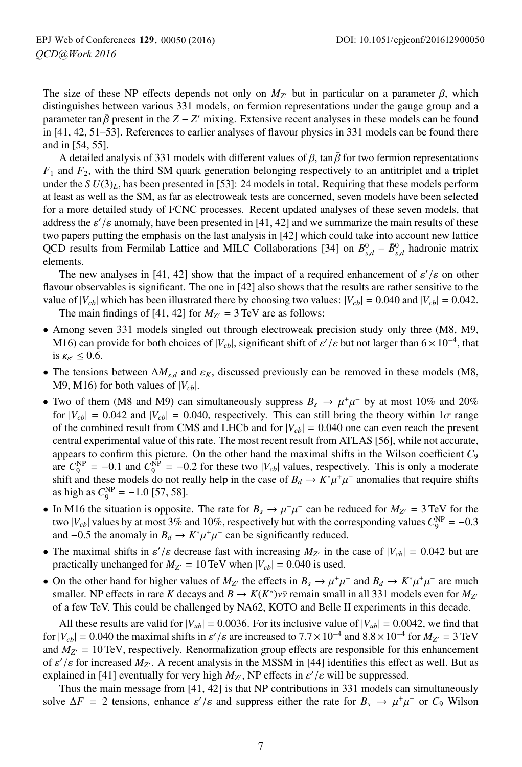The size of these NP effects depends not only on  $M_{Z'}$  but in particular on a parameter  $\beta$ , which distinguishes between various 331 models, on fermion representations under the gauge group and a parameter tan  $\bar{\beta}$  present in the  $Z - Z'$  mixing. Extensive recent analyses in these models can be found in [41, 42, 51–53]. References to earlier analyses of flavour physics in 331 models can be found there and in [54, 55].

A detailed analysis of 331 models with different values of  $\beta$ , tan  $\bar{\beta}$  for two fermion representations  $F_1$  and  $F_2$ , with the third SM quark generation belonging respectively to an antitriplet and a triplet under the  $SU(3)_L$ , has been presented in [53]: 24 models in total. Requiring that these models perform at least as well as the SM, as far as electroweak tests are concerned, seven models have been selected for a more detailed study of FCNC processes. Recent updated analyses of these seven models, that address the  $\varepsilon'/\varepsilon$  anomaly, have been presented in [41, 42] and we summarize the main results of these two papers putting the emphasis on the last analysis in [42] which could take into account new lattice QCD results from Fermilab Lattice and MILC Collaborations [34] on  $B_{s,d}^0 - \bar{B}_{s,d}^0$  hadronic matrix elements.

The new analyses in [41, 42] show that the impact of a required enhancement of  $\varepsilon'/\varepsilon$  on other flavour observables is significant. The one in [42] also shows that the results are rather sensitive to the value of  $|V_{cb}|$  which has been illustrated there by choosing two values:  $|V_{cb}| = 0.040$  and  $|V_{cb}| = 0.042$ .

The main findings of [41, 42] for  $M_{Z'} = 3 \text{ TeV}$  are as follows:

- Among seven 331 models singled out through electroweak precision study only three (M8, M9, M16) can provide for both choices of  $|V_{cb}|$ , significant shift of  $\varepsilon'/\varepsilon$  but not larger than  $6 \times 10^{-4}$ , that is  $\kappa_{\varepsilon} \leq 0.6$ .
- The tensions between  $\Delta M_{s,d}$  and  $\varepsilon_K$ , discussed previously can be removed in these models (M8, M9, M16) for both values of  $|V_{cb}|$ .
- Two of them (M8 and M9) can simultaneously suppress  $B_s \to \mu^+\mu^-$  by at most 10% and 20% for  $|V_{cb}| = 0.042$  and  $|V_{cb}| = 0.040$ , respectively. This can still bring the theory within  $1\sigma$  range of the combined result from CMS and LHCb and for  $|V_{cb}| = 0.040$  one can even reach the present central experimental value of this rate. The most recent result from ATLAS [56], while not accurate, appears to confirm this picture. On the other hand the maximal shifts in the Wilson coefficient *C*<sup>9</sup> are  $C_9^{\text{NP}} = -0.1$  and  $C_9^{\text{NP}} = -0.2$  for these two  $|V_{cb}|$  values, respectively. This is only a moderate shift and these models do not really help in the case of  $B_d \to K^*\mu^+\mu^-$  anomalies that require shifts as high as  $C_9^{\rm NP} = -1.0$  [57, 58].
- In M16 the situation is opposite. The rate for  $B_s \to \mu^+\mu^-$  can be reduced for  $M_{Z'} = 3 \text{ TeV}$  for the two |*V<sub>cb</sub>*| values by at most 3% and 10%, respectively but with the corresponding values  $C_9^{\text{NP}} = -0.3$ and  $-0.5$  the anomaly in *B<sub>d</sub>* →  $K^*\mu^+\mu^-$  can be significantly reduced.
- The maximal shifts in  $\varepsilon'/\varepsilon$  decrease fast with increasing  $M_{Z'}$  in the case of  $|V_{cb}| = 0.042$  but are practically unchanged for  $M_{Z'} = 10 \text{ TeV}$  when  $|V_{cb}| = 0.040$  is used.
- On the other hand for higher values of  $M_{Z'}$  the effects in  $B_s \to \mu^+\mu^-$  and  $B_d \to K^*\mu^+\mu^-$  are much smaller. NP effects in rare *K* decays and  $B \to K(K^*)v\bar{v}$  remain small in all 331 models even for  $M_{Z'}$ of a few TeV. This could be challenged by NA62, KOTO and Belle II experiments in this decade.

All these results are valid for  $|V_{ub}| = 0.0036$ . For its inclusive value of  $|V_{ub}| = 0.0042$ , we find that for  $|V_{cb}| = 0.040$  the maximal shifts in  $\varepsilon'/\varepsilon$  are increased to  $7.7 \times 10^{-4}$  and  $8.8 \times 10^{-4}$  for  $M_{Z'} = 3$  TeV and  $M_{Z'} = 10 \text{ TeV}$ , respectively. Renormalization group effects are responsible for this enhancement of  $\varepsilon'$ / $\varepsilon$  for increased  $M_{Z'}$ . A recent analysis in the MSSM in [44] identifies this effect as well. But as explained in [41] eventually for very high  $M_{Z'}$ , NP effects in  $\varepsilon'/\varepsilon$  will be suppressed.

Thus the main message from [41, 42] is that NP contributions in 331 models can simultaneously solve  $\Delta F = 2$  tensions, enhance  $\varepsilon'/\varepsilon$  and suppress either the rate for  $B_s \to \mu^+ \mu^-$  or  $C_9$  Wilson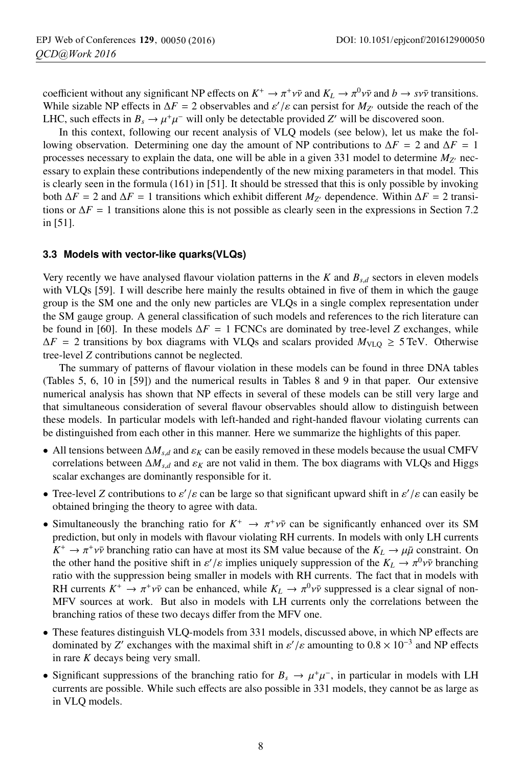coefficient without any significant NP effects on  $K^+ \to \pi^+ \nu \bar{\nu}$  and  $K_L \to \pi^0 \nu \bar{\nu}$  and  $b \to s \nu \bar{\nu}$  transitions. While sizable NP effects in  $\Delta F = 2$  observables and  $\varepsilon'/\varepsilon$  can persist for  $M_{Z'}$  outside the reach of the LHC, such effects in  $B_s \to \mu^+\mu^-$  will only be detectable provided *Z'* will be discovered soon.

In this context, following our recent analysis of VLQ models (see below), let us make the following observation. Determining one day the amount of NP contributions to  $\Delta F = 2$  and  $\Delta F = 1$ processes necessary to explain the data, one will be able in a given 331 model to determine  $M_{Z}$  necessary to explain these contributions independently of the new mixing parameters in that model. This is clearly seen in the formula (161) in [51]. It should be stressed that this is only possible by invoking both  $\Delta F = 2$  and  $\Delta F = 1$  transitions which exhibit different  $M_{Z'}$  dependence. Within  $\Delta F = 2$  transitions or  $\Delta F = 1$  transitions alone this is not possible as clearly seen in the expressions in Section 7.2 in [51].

#### **3.3 Models with vector-like quarks(VLQs)**

Very recently we have analysed flavour violation patterns in the *K* and *Bs*,*<sup>d</sup>* sectors in eleven models with VLQs [59]. I will describe here mainly the results obtained in five of them in which the gauge group is the SM one and the only new particles are VLQs in a single complex representation under the SM gauge group. A general classification of such models and references to the rich literature can be found in [60]. In these models  $\Delta F = 1$  FCNCs are dominated by tree-level *Z* exchanges, while  $\Delta F = 2$  transitions by box diagrams with VLQs and scalars provided  $M_{\text{VLQ}} \ge 5$  TeV. Otherwise tree-level *Z* contributions cannot be neglected.

The summary of patterns of flavour violation in these models can be found in three DNA tables (Tables 5, 6, 10 in [59]) and the numerical results in Tables 8 and 9 in that paper. Our extensive numerical analysis has shown that NP effects in several of these models can be still very large and that simultaneous consideration of several flavour observables should allow to distinguish between these models. In particular models with left-handed and right-handed flavour violating currents can be distinguished from each other in this manner. Here we summarize the highlights of this paper.

- All tensions between  $\Delta M_{s,d}$  and  $\varepsilon_K$  can be easily removed in these models because the usual CMFV correlations between  $\Delta M_{s,d}$  and  $\varepsilon_K$  are not valid in them. The box diagrams with VLQs and Higgs scalar exchanges are dominantly responsible for it.
- Tree-level *Z* contributions to  $\varepsilon' / \varepsilon$  can be large so that significant upward shift in  $\varepsilon' / \varepsilon$  can easily be obtained bringing the theory to agree with data.
- Simultaneously the branching ratio for  $K^+ \to \pi^+ \nu \bar{\nu}$  can be significantly enhanced over its SM prediction, but only in models with flavour violating RH currents. In models with only LH currents  $K^+ \to \pi^+ \nu \bar{\nu}$  branching ratio can have at most its SM value because of the  $K_L \to \mu \bar{\mu}$  constraint. On the other hand the positive shift in  $\varepsilon' / \varepsilon$  implies uniquely suppression of the  $K_L \to \pi^0 \nu \bar{\nu}$  branching ratio with the suppression being smaller in models with RH currents. The fact that in models with RH currents  $K^+ \to \pi^+ \nu \bar{\nu}$  can be enhanced, while  $K_L \to \pi^0 \nu \bar{\nu}$  suppressed is a clear signal of non-MFV sources at work. But also in models with LH currents only the correlations between the branching ratios of these two decays differ from the MFV one.
- These features distinguish VLQ-models from 331 models, discussed above, in which NP effects are dominated by *Z'* exchanges with the maximal shift in  $\varepsilon'/\varepsilon$  amounting to  $0.8 \times 10^{-3}$  and NP effects in rare *K* decays being very small.
- Significant suppressions of the branching ratio for  $B_s \to \mu^+\mu^-$ , in particular in models with LH currents are possible. While such effects are also possible in 331 models, they cannot be as large as in VLQ models.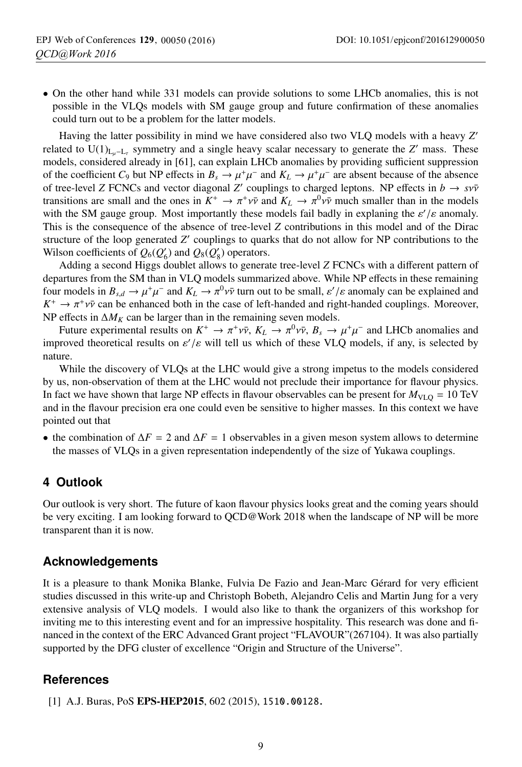• On the other hand while 331 models can provide solutions to some LHCb anomalies, this is not possible in the VLQs models with SM gauge group and future confirmation of these anomalies could turn out to be a problem for the latter models.

Having the latter possibility in mind we have considered also two VLQ models with a heavy *Z* related to  $U(1)_{L_u-L_x}$  symmetry and a single heavy scalar necessary to generate the *Z'* mass. These models, considered already in [61], can explain LHCb anomalies by providing sufficient suppression of the coefficient  $C_9$  but NP effects in  $B_s \to \mu^+\mu^-$  and  $K_L \to \mu^+\mu^-$  are absent because of the absence of tree-level *Z* FCNCs and vector diagonal *Z'* couplings to charged leptons. NP effects in  $b \rightarrow s v \bar{v}$ transitions are small and the ones in  $K^+ \to \pi^+ \nu \bar{\nu}$  and  $K_L \to \pi^0 \nu \bar{\nu}$  much smaller than in the models with the SM gauge group. Most importantly these models fail badly in explaning the  $\varepsilon'/\varepsilon$  anomaly. This is the consequence of the absence of tree-level *Z* contributions in this model and of the Dirac structure of the loop generated *Z'* couplings to quarks that do not allow for NP contributions to the Wilson coefficients of  $Q_6(Q'_6)$  and  $Q_8(Q'_8)$  operators.

Adding a second Higgs doublet allows to generate tree-level *Z* FCNCs with a different pattern of departures from the SM than in VLQ models summarized above. While NP effects in these remaining four models in  $B_{s,d} \to \mu^+\mu^-$  and  $K_L \to \pi^0\nu\bar{\nu}$  turn out to be small,  $\varepsilon'/\varepsilon$  anomaly can be explained and  $K^+ \to \pi^+ \nu \bar{\nu}$  can be enhanced both in the case of left-handed and right-handed couplings. Moreover, NP effects in  $\Delta M_K$  can be larger than in the remaining seven models.

Future experimental results on  $K^+ \to \pi^+ \nu \bar{\nu}$ ,  $K_L \to \pi^0 \nu \bar{\nu}$ ,  $B_s \to \mu^+ \mu^-$  and LHCb anomalies and improved theoretical results on  $\varepsilon'/\varepsilon$  will tell us which of these VLQ models, if any, is selected by nature.

While the discovery of VLQs at the LHC would give a strong impetus to the models considered by us, non-observation of them at the LHC would not preclude their importance for flavour physics. In fact we have shown that large NP effects in flavour observables can be present for  $M_{\text{VLO}} = 10 \text{ TeV}$ and in the flavour precision era one could even be sensitive to higher masses. In this context we have pointed out that

• the combination of  $\Delta F = 2$  and  $\Delta F = 1$  observables in a given meson system allows to determine the masses of VLQs in a given representation independently of the size of Yukawa couplings.

### **4 Outlook**

Our outlook is very short. The future of kaon flavour physics looks great and the coming years should be very exciting. I am looking forward to QCD@Work 2018 when the landscape of NP will be more transparent than it is now.

### **Acknowledgements**

It is a pleasure to thank Monika Blanke, Fulvia De Fazio and Jean-Marc Gérard for very efficient studies discussed in this write-up and Christoph Bobeth, Alejandro Celis and Martin Jung for a very extensive analysis of VLQ models. I would also like to thank the organizers of this workshop for inviting me to this interesting event and for an impressive hospitality. This research was done and financed in the context of the ERC Advanced Grant project "FLAVOUR"(267104). It was also partially supported by the DFG cluster of excellence "Origin and Structure of the Universe".

### **References**

[1] A.J. Buras, PoS EPS-HEP2015, 602 (2015), 1510.00128.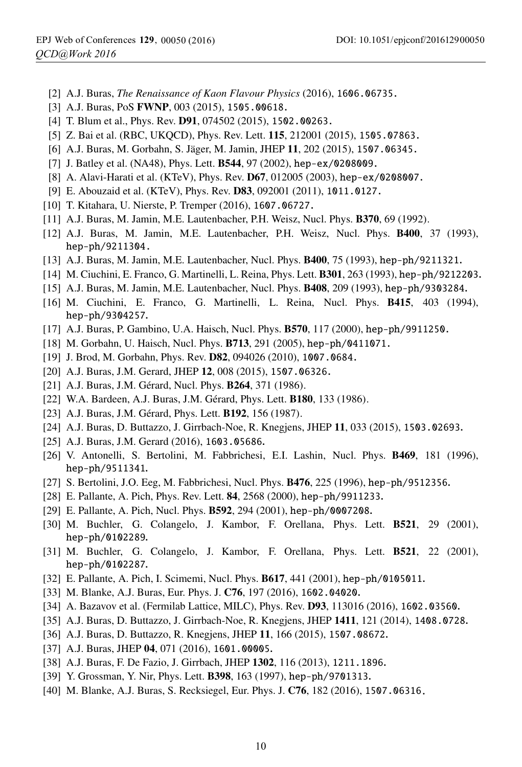- [2] A.J. Buras, *The Renaissance of Kaon Flavour Physics* (2016), 1606.06735.
- [3] A.J. Buras, PoS FWNP, 003 (2015), 1505.00618.
- [4] T. Blum et al., Phys. Rev. **D91**, 074502 (2015), 1502.00263.
- [5] Z. Bai et al. (RBC, UKQCD), Phys. Rev. Lett. **115**, 212001 (2015), 1505.07863.
- [6] A.J. Buras, M. Gorbahn, S. Jäger, M. Jamin, JHEP 11, 202 (2015), 1507.06345.
- [7] J. Batley et al. (NA48), Phys. Lett. **B544**, 97 (2002), hep-ex/0208009.
- [8] A. Alavi-Harati et al. (KTeV), Phys. Rev. D67, 012005 (2003), hep-ex/0208007.
- [9] E. Abouzaid et al. (KTeV), Phys. Rev. **D83**, 092001 (2011), 1011.0127.
- [10] T. Kitahara, U. Nierste, P. Tremper (2016), 1607.06727.
- [11] A.J. Buras, M. Jamin, M.E. Lautenbacher, P.H. Weisz, Nucl. Phys. B370, 69 (1992).
- [12] A.J. Buras, M. Jamin, M.E. Lautenbacher, P.H. Weisz, Nucl. Phys. B400, 37 (1993), hep-ph/9211304.
- [13] A.J. Buras, M. Jamin, M.E. Lautenbacher, Nucl. Phys. B400, 75 (1993), hep-ph/9211321.
- [14] M. Ciuchini, E. Franco, G. Martinelli, L. Reina, Phys. Lett. B301, 263 (1993), hep-ph/9212203.
- [15] A.J. Buras, M. Jamin, M.E. Lautenbacher, Nucl. Phys. B408, 209 (1993), hep-ph/9303284.
- [16] M. Ciuchini, E. Franco, G. Martinelli, L. Reina, Nucl. Phys. B415, 403 (1994), hep-ph/9304257.
- [17] A.J. Buras, P. Gambino, U.A. Haisch, Nucl. Phys. B570, 117 (2000), hep-ph/9911250.
- [18] M. Gorbahn, U. Haisch, Nucl. Phys. **B713**, 291 (2005), hep-ph/0411071.
- [19] J. Brod, M. Gorbahn, Phys. Rev. **D82**, 094026 (2010), 1007.0684.
- [20] A.J. Buras, J.M. Gerard, JHEP 12, 008 (2015), 1507.06326.
- [21] A.J. Buras, J.M. Gérard, Nucl. Phys. **B264**, 371 (1986).
- [22] W.A. Bardeen, A.J. Buras, J.M. Gérard, Phys. Lett. **B180**, 133 (1986).
- [23] A.J. Buras, J.M. Gérard, Phys. Lett. **B192**, 156 (1987).
- [24] A.J. Buras, D. Buttazzo, J. Girrbach-Noe, R. Knegjens, JHEP 11, 033 (2015), 1503.02693.
- [25] A.J. Buras, J.M. Gerard (2016), 1603.05686.
- [26] V. Antonelli, S. Bertolini, M. Fabbrichesi, E.I. Lashin, Nucl. Phys. B469, 181 (1996), hep-ph/9511341.
- [27] S. Bertolini, J.O. Eeg, M. Fabbrichesi, Nucl. Phys. B476, 225 (1996), hep-ph/9512356.
- [28] E. Pallante, A. Pich, Phys. Rev. Lett. 84, 2568 (2000), hep-ph/9911233.
- [29] E. Pallante, A. Pich, Nucl. Phys. B592, 294 (2001), hep-ph/0007208.
- [30] M. Buchler, G. Colangelo, J. Kambor, F. Orellana, Phys. Lett. B521, 29 (2001), hep-ph/0102289.
- [31] M. Buchler, G. Colangelo, J. Kambor, F. Orellana, Phys. Lett. B521, 22 (2001), hep-ph/0102287.
- [32] E. Pallante, A. Pich, I. Scimemi, Nucl. Phys. B617, 441 (2001), hep-ph/0105011.
- [33] M. Blanke, A.J. Buras, Eur. Phys. J. C76, 197 (2016), 1602.04020.
- [34] A. Bazavov et al. (Fermilab Lattice, MILC), Phys. Rev. **D93**, 113016 (2016), 1602.03560.
- [35] A.J. Buras, D. Buttazzo, J. Girrbach-Noe, R. Knegjens, JHEP 1411, 121 (2014), 1408.0728.
- [36] A.J. Buras, D. Buttazzo, R. Knegjens, JHEP 11, 166 (2015), 1507.08672.
- [37] A.J. Buras, JHEP 04, 071 (2016), 1601.00005.
- [38] A.J. Buras, F. De Fazio, J. Girrbach, JHEP 1302, 116 (2013), 1211.1896.
- [39] Y. Grossman, Y. Nir, Phys. Lett. **B398**, 163 (1997), hep-ph/9701313.
- [40] M. Blanke, A.J. Buras, S. Recksiegel, Eur. Phys. J. C76, 182 (2016), 1507.06316 **.**